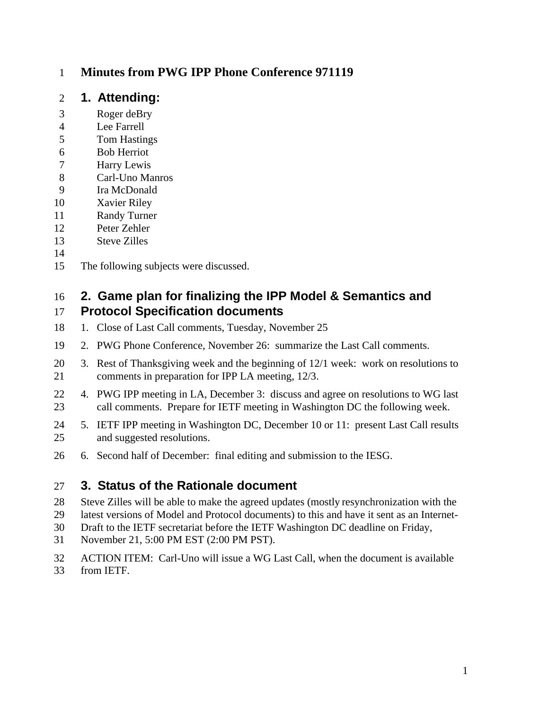#### **Minutes from PWG IPP Phone Conference 971119**

#### **1. Attending:**

- Roger deBry
- Lee Farrell
- Tom Hastings
- Bob Herriot
- Harry Lewis
- Carl-Uno Manros
- Ira McDonald
- Xavier Riley
- Randy Turner
- Peter Zehler
- Steve Zilles

#### 

The following subjects were discussed.

#### **2. Game plan for finalizing the IPP Model & Semantics and Protocol Specification documents**

- 18 1. Close of Last Call comments, Tuesday, November 25
- 2. PWG Phone Conference, November 26: summarize the Last Call comments.
- 3. Rest of Thanksgiving week and the beginning of 12/1 week: work on resolutions to comments in preparation for IPP LA meeting, 12/3.
- 4. PWG IPP meeting in LA, December 3: discuss and agree on resolutions to WG last call comments. Prepare for IETF meeting in Washington DC the following week.
- 5. IETF IPP meeting in Washington DC, December 10 or 11: present Last Call results and suggested resolutions.
- 6. Second half of December: final editing and submission to the IESG.

# **3. Status of the Rationale document**

- Steve Zilles will be able to make the agreed updates (mostly resynchronization with the
- latest versions of Model and Protocol documents) to this and have it sent as an Internet-
- Draft to the IETF secretariat before the IETF Washington DC deadline on Friday,
- November 21, 5:00 PM EST (2:00 PM PST).
- ACTION ITEM: Carl-Uno will issue a WG Last Call, when the document is available
- from IETF.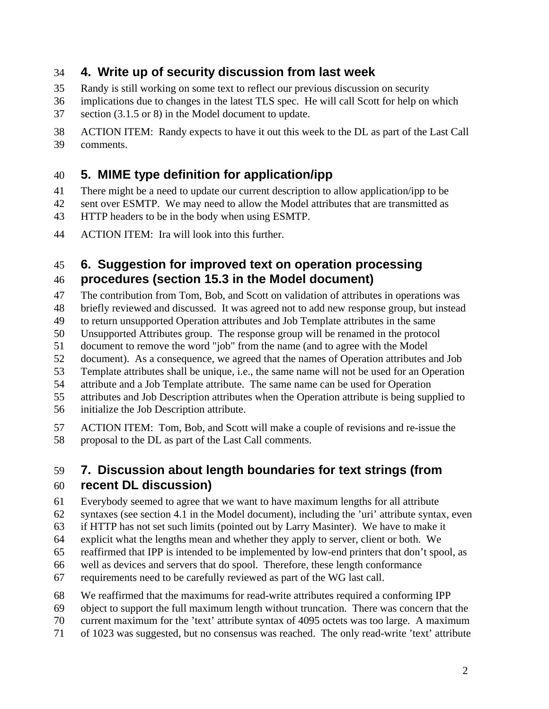## **4. Write up of security discussion from last week**

- Randy is still working on some text to reflect our previous discussion on security
- implications due to changes in the latest TLS spec. He will call Scott for help on which
- section (3.1.5 or 8) in the Model document to update.
- ACTION ITEM: Randy expects to have it out this week to the DL as part of the Last Call comments.

# **5. MIME type definition for application/ipp**

- There might be a need to update our current description to allow application/ipp to be
- sent over ESMTP. We may need to allow the Model attributes that are transmitted as
- HTTP headers to be in the body when using ESMTP.
- ACTION ITEM: Ira will look into this further.

# **6. Suggestion for improved text on operation processing**

### **procedures (section 15.3 in the Model document)**

- The contribution from Tom, Bob, and Scott on validation of attributes in operations was
- briefly reviewed and discussed. It was agreed not to add new response group, but instead
- to return unsupported Operation attributes and Job Template attributes in the same
- Unsupported Attributes group. The response group will be renamed in the protocol
- document to remove the word "job" from the name (and to agree with the Model
- document). As a consequence, we agreed that the names of Operation attributes and Job
- Template attributes shall be unique, i.e., the same name will not be used for an Operation
- attribute and a Job Template attribute. The same name can be used for Operation
- attributes and Job Description attributes when the Operation attribute is being supplied to
- initialize the Job Description attribute.
- ACTION ITEM: Tom, Bob, and Scott will make a couple of revisions and re-issue the proposal to the DL as part of the Last Call comments.

## **7. Discussion about length boundaries for text strings (from recent DL discussion)**

- Everybody seemed to agree that we want to have maximum lengths for all attribute
- syntaxes (see section 4.1 in the Model document), including the 'uri' attribute syntax, even
- if HTTP has not set such limits (pointed out by Larry Masinter). We have to make it
- explicit what the lengths mean and whether they apply to server, client or both. We
- reaffirmed that IPP is intended to be implemented by low-end printers that don't spool, as
- well as devices and servers that do spool. Therefore, these length conformance
- requirements need to be carefully reviewed as part of the WG last call.
- We reaffirmed that the maximums for read-write attributes required a conforming IPP
- object to support the full maximum length without truncation. There was concern that the
- current maximum for the 'text' attribute syntax of 4095 octets was too large. A maximum
- of 1023 was suggested, but no consensus was reached. The only read-write 'text' attribute